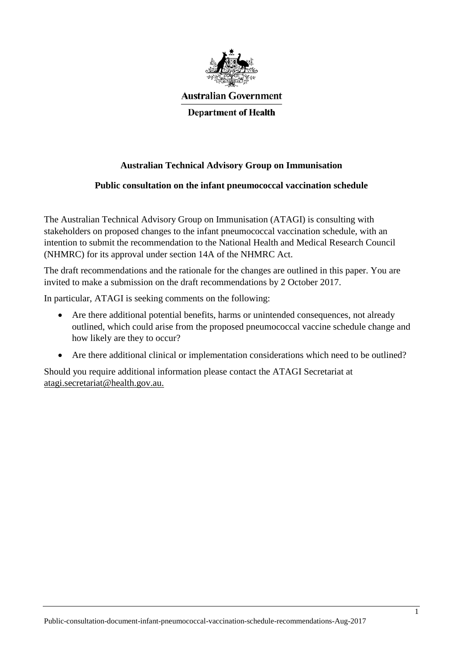

**Australian Government** 

**Department of Health** 

## **Australian Technical Advisory Group on Immunisation**

# **Public consultation on the infant pneumococcal vaccination schedule**

The Australian Technical Advisory Group on Immunisation (ATAGI) is consulting with stakeholders on proposed changes to the infant pneumococcal vaccination schedule, with an intention to submit the recommendation to the National Health and Medical Research Council (NHMRC) for its approval under section 14A of the NHMRC Act.

The draft recommendations and the rationale for the changes are outlined in this paper. You are invited to make a submission on the draft recommendations by 2 October 2017.

In particular, ATAGI is seeking comments on the following:

- Are there additional potential benefits, harms or unintended consequences, not already outlined, which could arise from the proposed pneumococcal vaccine schedule change and how likely are they to occur?
- Are there additional clinical or implementation considerations which need to be outlined?

Should you require additional information please contact the ATAGI Secretariat at [atagi.secretariat@health.gov.au.](mailto:atagi.secretariat@health.gov.au)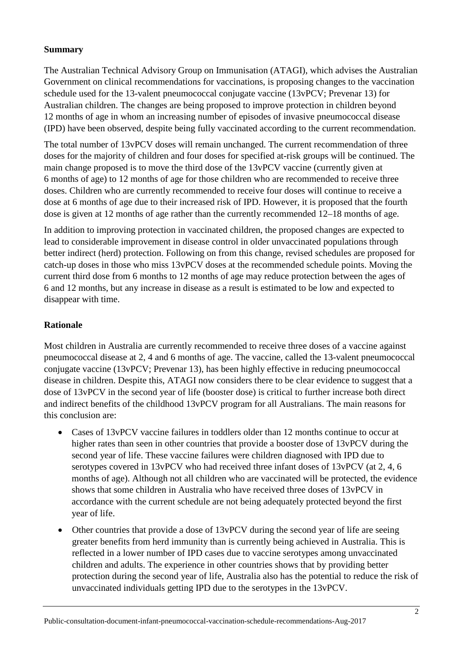### **Summary**

The Australian Technical Advisory Group on Immunisation (ATAGI), which advises the Australian Government on clinical recommendations for vaccinations, is proposing changes to the vaccination schedule used for the 13-valent pneumococcal conjugate vaccine (13vPCV; Prevenar 13) for Australian children. The changes are being proposed to improve protection in children beyond 12 months of age in whom an increasing number of episodes of invasive pneumococcal disease (IPD) have been observed, despite being fully vaccinated according to the current recommendation.

The total number of 13vPCV doses will remain unchanged. The current recommendation of three doses for the majority of children and four doses for specified at-risk groups will be continued. The main change proposed is to move the third dose of the 13vPCV vaccine (currently given at 6 months of age) to 12 months of age for those children who are recommended to receive three doses. Children who are currently recommended to receive four doses will continue to receive a dose at 6 months of age due to their increased risk of IPD. However, it is proposed that the fourth dose is given at 12 months of age rather than the currently recommended 12–18 months of age.

In addition to improving protection in vaccinated children, the proposed changes are expected to lead to considerable improvement in disease control in older unvaccinated populations through better indirect (herd) protection. Following on from this change, revised schedules are proposed for catch-up doses in those who miss 13vPCV doses at the recommended schedule points. Moving the current third dose from 6 months to 12 months of age may reduce protection between the ages of 6 and 12 months, but any increase in disease as a result is estimated to be low and expected to disappear with time.

### **Rationale**

Most children in Australia are currently recommended to receive three doses of a vaccine against pneumococcal disease at 2, 4 and 6 months of age. The vaccine, called the 13-valent pneumococcal conjugate vaccine (13vPCV; Prevenar 13), has been highly effective in reducing pneumococcal disease in children. Despite this, ATAGI now considers there to be clear evidence to suggest that a dose of 13vPCV in the second year of life (booster dose) is critical to further increase both direct and indirect benefits of the childhood 13vPCV program for all Australians. The main reasons for this conclusion are:

- Cases of 13 vPCV vaccine failures in toddlers older than 12 months continue to occur at higher rates than seen in other countries that provide a booster dose of 13vPCV during the second year of life. These vaccine failures were children diagnosed with IPD due to serotypes covered in 13vPCV who had received three infant doses of 13vPCV (at 2, 4, 6 months of age). Although not all children who are vaccinated will be protected, the evidence shows that some children in Australia who have received three doses of 13vPCV in accordance with the current schedule are not being adequately protected beyond the first year of life.
- Other countries that provide a dose of 13vPCV during the second year of life are seeing greater benefits from herd immunity than is currently being achieved in Australia. This is reflected in a lower number of IPD cases due to vaccine serotypes among unvaccinated children and adults. The experience in other countries shows that by providing better protection during the second year of life, Australia also has the potential to reduce the risk of unvaccinated individuals getting IPD due to the serotypes in the 13vPCV.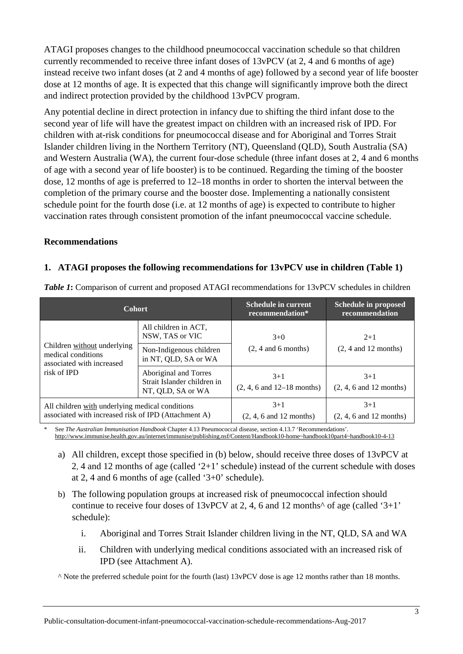ATAGI proposes changes to the childhood pneumococcal vaccination schedule so that children currently recommended to receive three infant doses of 13vPCV (at 2, 4 and 6 months of age) instead receive two infant doses (at 2 and 4 months of age) followed by a second year of life booster dose at 12 months of age. It is expected that this change will significantly improve both the direct and indirect protection provided by the childhood 13vPCV program.

Any potential decline in direct protection in infancy due to shifting the third infant dose to the second year of life will have the greatest impact on children with an increased risk of IPD. For children with at-risk conditions for pneumococcal disease and for Aboriginal and Torres Strait Islander children living in the Northern Territory (NT), Queensland (QLD), South Australia (SA) and Western Australia (WA), the current four-dose schedule (three infant doses at 2, 4 and 6 months of age with a second year of life booster) is to be continued. Regarding the timing of the booster dose, 12 months of age is preferred to 12–18 months in order to shorten the interval between the completion of the primary course and the booster dose. Implementing a nationally consistent schedule point for the fourth dose (i.e. at 12 months of age) is expected to contribute to higher vaccination rates through consistent promotion of the infant pneumococcal vaccine schedule.

#### **Recommendations**

#### **1. ATAGI proposes the following recommendations for 13vPCV use in children (Table 1)**

| <b>Cohort</b>                                                                                           |                                                                           | <b>Schedule in current</b><br>recommendation*            | <b>Schedule in proposed</b><br>recommendation |  |
|---------------------------------------------------------------------------------------------------------|---------------------------------------------------------------------------|----------------------------------------------------------|-----------------------------------------------|--|
|                                                                                                         | All children in ACT.<br>NSW, TAS or VIC                                   | $3+0$                                                    | $2+1$<br>$(2, 4$ and 12 months)               |  |
| Children without underlying<br>medical conditions<br>associated with increased<br>risk of IPD           | Non-Indigenous children<br>in NT, QLD, SA or WA                           | $(2, 4$ and 6 months)                                    |                                               |  |
|                                                                                                         | Aboriginal and Torres<br>Strait Islander children in<br>NT, QLD, SA or WA | $3+1$<br>$(2, 4, 6 \text{ and } 12 - 18 \text{ months})$ | $3+1$<br>$(2, 4, 6$ and 12 months)            |  |
| All children with underlying medical conditions<br>associated with increased risk of IPD (Attachment A) |                                                                           | $3+1$<br>$(2, 4, 6$ and 12 months)                       | $3+1$<br>$(2, 4, 6$ and 12 months)            |  |

*Table 1***:** Comparison of current and proposed ATAGI recommendations for 13vPCV schedules in children

\* See *The Australian Immunisation Handbook* Chapter 4.13 Pneumococcal disease, section 4.13.7 'Recommendations'. [http://www.immunise.health.gov.au/internet/immunise/publishing.nsf/Content/Handbook10-home~handbook10part4~handbook10-4-13](http://www.immunise.health.gov.au/internet/immunise/publishing.nsf/Content/Handbook10-home%7Ehandbook10part4%7Ehandbook10-4-13)

- a) All children, except those specified in (b) below, should receive three doses of 13vPCV at 2, 4 and 12 months of age (called '2+1' schedule) instead of the current schedule with doses at 2, 4 and 6 months of age (called '3+0' schedule).
- b) The following population groups at increased risk of pneumococcal infection should continue to receive four doses of  $13vPCV$  at 2, 4, 6 and 12 months<sup> $\wedge$ </sup> of age (called '3+1' schedule):
	- i. Aboriginal and Torres Strait Islander children living in the NT, QLD, SA and WA
	- ii. Children with underlying medical conditions associated with an increased risk of IPD (see Attachment A).

^ Note the preferred schedule point for the fourth (last) 13vPCV dose is age 12 months rather than 18 months.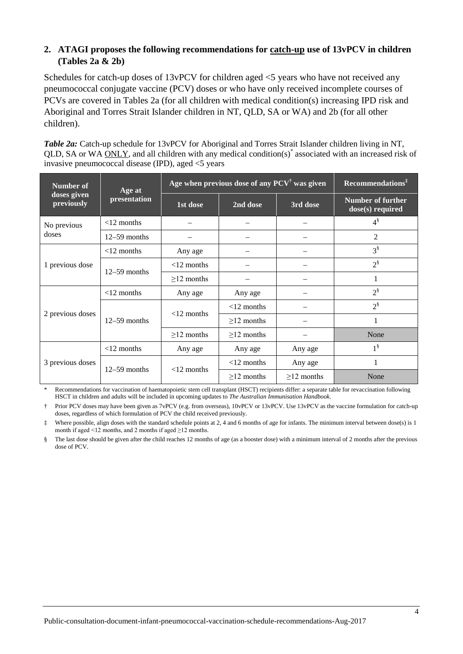### **2. ATAGI proposes the following recommendations for catch-up use of 13vPCV in children (Tables 2a & 2b)**

Schedules for catch-up doses of 13vPCV for children aged  $\leq$  years who have not received any pneumococcal conjugate vaccine (PCV) doses or who have only received incomplete courses of PCVs are covered in Tables 2a (for all children with medical condition(s) increasing IPD risk and Aboriginal and Torres Strait Islander children in NT, QLD, SA or WA) and 2b (for all other children).

*Table 2a:* Catch-up schedule for 13vPCV for Aboriginal and Torres Strait Islander children living in NT, QLD, SA or WA ONLY, and all children with any medical condition(s)\* associated with an increased risk of invasive pneumococcal disease (IPD), aged <5 years

| <b>Number of</b>          | Age at         | Age when previous dose of any $PCV^{\dagger}$ was given | Recommendations <sup>‡</sup> |              |                                       |  |
|---------------------------|----------------|---------------------------------------------------------|------------------------------|--------------|---------------------------------------|--|
| doses given<br>previously | presentation   | 1st dose                                                | 2nd dose                     | 3rd dose     | Number of further<br>dose(s) required |  |
| No previous               | $<$ 12 months  |                                                         |                              |              | $4^{\$}$                              |  |
| doses                     | $12-59$ months |                                                         |                              |              | $\overline{2}$                        |  |
| 1 previous dose           | $<$ 12 months  | Any age                                                 |                              |              | $3^{\S}$                              |  |
|                           |                | $<$ 12 months                                           |                              |              | $2^{\$}$                              |  |
|                           | $12-59$ months | $\geq$ 12 months                                        |                              |              | 1                                     |  |
| 2 previous doses          | $<$ 12 months  | Any age                                                 | Any age                      |              | $2^{\$}$                              |  |
|                           | $12-59$ months | $<$ 12 months                                           | $<$ 12 months                |              | $2^{\$}$                              |  |
|                           |                |                                                         | $>12$ months                 |              | 1                                     |  |
|                           |                | $>12$ months                                            | $>12$ months                 |              | None                                  |  |
| 3 previous doses          | $<$ 12 months  | Any age                                                 | Any age                      | Any age      | $1^{\frac{8}{3}}$                     |  |
|                           | $12-59$ months | $<$ 12 months                                           | $<$ 12 months                | Any age      | 1                                     |  |
|                           |                |                                                         | $\geq$ 12 months             | $>12$ months | None                                  |  |

\* Recommendations for vaccination of haematopoietic stem cell transplant (HSCT) recipients differ: a separate table for revaccination following HSCT in children and adults will be included in upcoming updates to *The Australian Immunisation Handbook*.

† Prior PCV doses may have been given as 7vPCV (e.g. from overseas), 10vPCV or 13vPCV. Use 13vPCV as the vaccine formulation for catch-up doses, regardless of which formulation of PCV the child received previously.

Where possible, align doses with the standard schedule points at 2, 4 and 6 months of age for infants. The minimum interval between dose(s) is 1 month if aged <12 months, and 2 months if aged  $\geq$ 12 months.

§ The last dose should be given after the child reaches 12 months of age (as a booster dose) with a minimum interval of 2 months after the previous dose of PCV.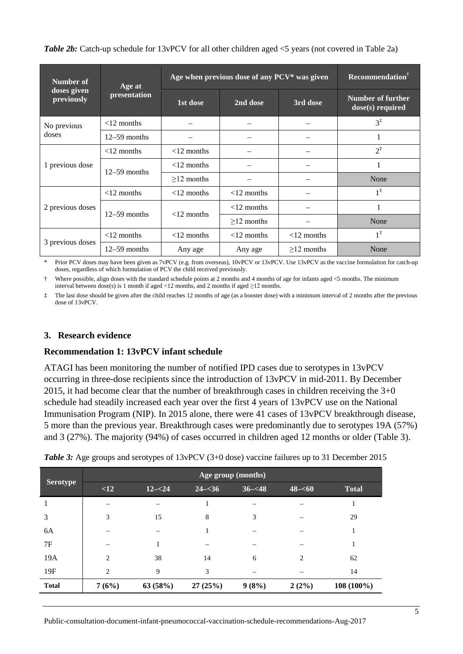| Number of                 | Age at         | Age when previous dose of any PCV* was given | <b>Recommendation</b> <sup>†</sup> |               |                                       |  |
|---------------------------|----------------|----------------------------------------------|------------------------------------|---------------|---------------------------------------|--|
| doses given<br>previously | presentation   | 1st dose                                     | 2nd dose                           | 3rd dose      | Number of further<br>dose(s) required |  |
| No previous               | $<$ 12 months  |                                              |                                    |               | $3^{\ddagger}$                        |  |
| doses                     | $12-59$ months |                                              |                                    |               | 1                                     |  |
| 1 previous dose           | $<$ 12 months  | $<$ 12 months                                |                                    |               | $2^{\ddagger}$                        |  |
|                           | $12-59$ months | $<$ 12 months                                |                                    |               | 1                                     |  |
|                           |                | $\geq$ 12 months                             |                                    |               | None                                  |  |
| 2 previous doses          | $<$ 12 months  | $<$ 12 months                                | $<$ 12 months                      |               | $1^{\ddagger}$                        |  |
|                           | $12-59$ months | $<$ 12 months                                | $<$ 12 months                      |               | 1                                     |  |
|                           |                |                                              | $>12$ months                       |               | None                                  |  |
| 3 previous doses          | $<$ 12 months  | $<$ 12 months                                | $<$ 12 months                      | $<$ 12 months | $1^{\ddagger}$                        |  |
|                           | $12-59$ months | Any age                                      | Any age                            | $>12$ months  | None                                  |  |

*Table 2b:* Catch-up schedule for 13vPCV for all other children aged <5 years (not covered in Table 2a)

Prior PCV doses may have been given as 7vPCV (e.g. from overseas), 10vPCV or 13vPCV. Use 13vPCV as the vaccine formulation for catch-up doses, regardless of which formulation of PCV the child received previously.

Where possible, align doses with the standard schedule points at 2 months and 4 months of age for infants aged  $\leq$  months. The minimum interval between dose(s) is 1 month if aged <12 months, and 2 months if aged  $\geq$ 12 months.

‡ The last dose should be given after the child reaches 12 months of age (as a booster dose) with a minimum interval of 2 months after the previous dose of 13vPCV.

#### **3. Research evidence**

#### **Recommendation 1: 13vPCV infant schedule**

ATAGI has been monitoring the number of notified IPD cases due to serotypes in 13vPCV occurring in three-dose recipients since the introduction of 13vPCV in mid-2011. By December 2015, it had become clear that the number of breakthrough cases in children receiving the 3+0 schedule had steadily increased each year over the first 4 years of 13vPCV use on the National Immunisation Program (NIP). In 2015 alone, there were 41 cases of 13vPCV breakthrough disease, 5 more than the previous year. Breakthrough cases were predominantly due to serotypes 19A (57%) and 3 (27%). The majority (94%) of cases occurred in children aged 12 months or older (Table 3).

|                 | Age group (months) |           |           |           |           |              |  |  |
|-----------------|--------------------|-----------|-----------|-----------|-----------|--------------|--|--|
| <b>Serotype</b> | <12                | $12 - 24$ | $24 - 36$ | $36 - 48$ | $48 - 60$ | <b>Total</b> |  |  |
| 1               |                    |           |           |           |           |              |  |  |
| 3               | 3                  | 15        | 8         | 3         |           | 29           |  |  |
| 6A              |                    |           |           |           |           |              |  |  |
| 7F              |                    |           |           |           |           |              |  |  |
| 19A             | $\overline{2}$     | 38        | 14        | 6         | 2         | 62           |  |  |
| 19F             | $\overline{c}$     | 9         | 3         |           |           | 14           |  |  |
| <b>Total</b>    | 7(6%)              | 63(58%)   | 27(25%)   | 9(8%)     | 2(2%)     | 108 (100%)   |  |  |

*Table 3:* Age groups and serotypes of 13vPCV (3+0 dose) vaccine failures up to 31 December 2015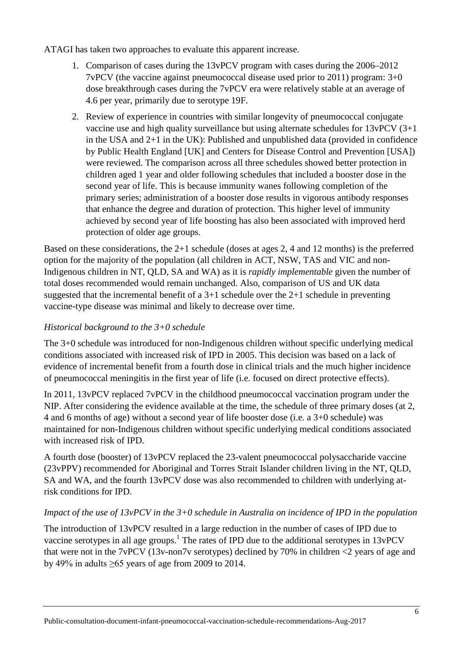ATAGI has taken two approaches to evaluate this apparent increase.

- 1. Comparison of cases during the 13vPCV program with cases during the 2006–2012 7vPCV (the vaccine against pneumococcal disease used prior to 2011) program: 3+0 dose breakthrough cases during the 7vPCV era were relatively stable at an average of 4.6 per year, primarily due to serotype 19F.
- 2. Review of experience in countries with similar longevity of pneumococcal conjugate vaccine use and high quality surveillance but using alternate schedules for  $13vPCV$  (3+1) in the USA and 2+1 in the UK): Published and unpublished data (provided in confidence by Public Health England [UK] and Centers for Disease Control and Prevention [USA]) were reviewed. The comparison across all three schedules showed better protection in children aged 1 year and older following schedules that included a booster dose in the second year of life. This is because immunity wanes following completion of the primary series; administration of a booster dose results in vigorous antibody responses that enhance the degree and duration of protection. This higher level of immunity achieved by second year of life boosting has also been associated with improved herd protection of older age groups.

Based on these considerations, the 2+1 schedule (doses at ages 2, 4 and 12 months) is the preferred option for the majority of the population (all children in ACT, NSW, TAS and VIC and non-Indigenous children in NT, QLD, SA and WA) as it is *rapidly implementable* given the number of total doses recommended would remain unchanged. Also, comparison of US and UK data suggested that the incremental benefit of a  $3+1$  schedule over the  $2+1$  schedule in preventing vaccine-type disease was minimal and likely to decrease over time.

## *Historical background to the 3+0 schedule*

The 3+0 schedule was introduced for non-Indigenous children without specific underlying medical conditions associated with increased risk of IPD in 2005. This decision was based on a lack of evidence of incremental benefit from a fourth dose in clinical trials and the much higher incidence of pneumococcal meningitis in the first year of life (i.e. focused on direct protective effects).

In 2011, 13vPCV replaced 7vPCV in the childhood pneumococcal vaccination program under the NIP. After considering the evidence available at the time, the schedule of three primary doses (at 2, 4 and 6 months of age) without a second year of life booster dose (i.e. a 3+0 schedule) was maintained for non-Indigenous children without specific underlying medical conditions associated with increased risk of IPD.

A fourth dose (booster) of 13vPCV replaced the 23-valent pneumococcal polysaccharide vaccine (23vPPV) recommended for Aboriginal and Torres Strait Islander children living in the NT, QLD, SA and WA, and the fourth 13vPCV dose was also recommended to children with underlying atrisk conditions for IPD.

## *Impact of the use of 13vPCV in the 3+0 schedule in Australia on incidence of IPD in the population*

The introduction of 13vPCV resulted in a large reduction in the number of cases of IPD due to vaccine serotypes in all age groups.<sup>[1](#page-9-0)</sup> The rates of IPD due to the additional serotypes in 13vPCV that were not in the 7vPCV (13v-non7v serotypes) declined by 70% in children  $\langle 2 \rangle$  years of age and by 49% in adults  $\geq 65$  years of age from 2009 to 2014.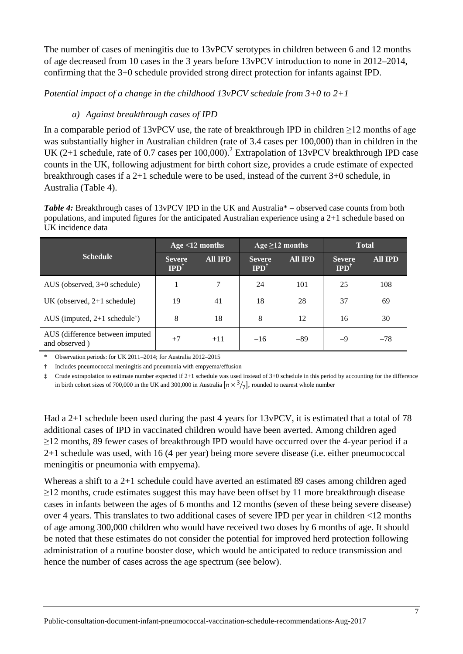The number of cases of meningitis due to 13vPCV serotypes in children between 6 and 12 months of age decreased from 10 cases in the 3 years before 13vPCV introduction to none in 2012–2014, confirming that the 3+0 schedule provided strong direct protection for infants against IPD.

*Potential impact of a change in the childhood 13vPCV schedule from 3+0 to 2+1*

## *a) Against breakthrough cases of IPD*

In a comparable period of 13vPCV use, the rate of breakthrough IPD in children  $\geq$ 12 months of age was substantially higher in Australian children (rate of 3.4 cases per 100,000) than in children in the UK ([2](#page-9-1)+1 schedule, rate of 0.7 cases per 100,000).<sup>2</sup> Extrapolation of 13vPCV breakthrough IPD case counts in the UK, following adjustment for birth cohort size, provides a crude estimate of expected breakthrough cases if a 2+1 schedule were to be used, instead of the current 3+0 schedule, in Australia (Table 4).

*Table 4:* Breakthrough cases of 13vPCV IPD in the UK and Australia\* – observed case counts from both populations, and imputed figures for the anticipated Australian experience using a 2+1 schedule based on UK incidence data

|                                                  | Age $<$ 12 months                |                | Age $\geq$ 12 months             |                | <b>Total</b>                     |                |
|--------------------------------------------------|----------------------------------|----------------|----------------------------------|----------------|----------------------------------|----------------|
| <b>Schedule</b>                                  | <b>Severe</b><br>$IPD^{\dagger}$ | <b>All IPD</b> | <b>Severe</b><br>$IPD^{\dagger}$ | <b>All IPD</b> | <b>Severe</b><br>$IPD^{\dagger}$ | <b>All IPD</b> |
| AUS (observed, $3+0$ schedule)                   |                                  | 7              | 24                               | 101            | 25                               | 108            |
| UK (observed, $2+1$ schedule)                    | 19                               | 41             | 18                               | 28             | 37                               | 69             |
| AUS (imputed, $2+1$ schedule <sup>‡</sup> )      | 8                                | 18             | 8                                | 12             | 16                               | 30             |
| AUS (difference between imputed<br>and observed) | $+7$                             | $+11$          | $-16$                            | $-89$          | $-9$                             | $-78$          |

\* Observation periods: for UK 2011–2014; for Australia 2012–2015

† Includes pneumococcal meningitis and pneumonia with empyema/effusion

‡ Crude extrapolation to estimate number expected if 2+1 schedule was used instead of 3+0 schedule in this period by accounting for the difference in birth cohort sizes of 700,000 in the UK and 300,000 in Australia  $\left[ n \times \frac{3}{7} \right]$ , rounded to nearest whole number

Had a 2+1 schedule been used during the past 4 years for 13vPCV, it is estimated that a total of 78 additional cases of IPD in vaccinated children would have been averted. Among children aged  $\geq$ 12 months, 89 fewer cases of breakthrough IPD would have occurred over the 4-year period if a 2+1 schedule was used, with 16 (4 per year) being more severe disease (i.e. either pneumococcal meningitis or pneumonia with empyema).

Whereas a shift to a 2+1 schedule could have averted an estimated 89 cases among children aged  $\geq$ 12 months, crude estimates suggest this may have been offset by 11 more breakthrough disease cases in infants between the ages of 6 months and 12 months (seven of these being severe disease) over 4 years. This translates to two additional cases of severe IPD per year in children <12 months of age among 300,000 children who would have received two doses by 6 months of age. It should be noted that these estimates do not consider the potential for improved herd protection following administration of a routine booster dose, which would be anticipated to reduce transmission and hence the number of cases across the age spectrum (see below).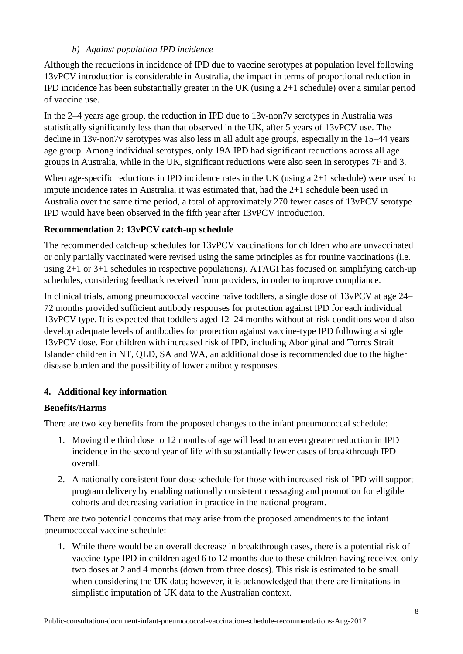### *b) Against population IPD incidence*

Although the reductions in incidence of IPD due to vaccine serotypes at population level following 13vPCV introduction is considerable in Australia, the impact in terms of proportional reduction in IPD incidence has been substantially greater in the UK (using a 2+1 schedule) over a similar period of vaccine use.

In the 2–4 years age group, the reduction in IPD due to 13v-non7v serotypes in Australia was statistically significantly less than that observed in the UK, after 5 years of 13vPCV use. The decline in 13v-non7v serotypes was also less in all adult age groups, especially in the 15–44 years age group. Among individual serotypes, only 19A IPD had significant reductions across all age groups in Australia, while in the UK, significant reductions were also seen in serotypes 7F and 3.

When age-specific reductions in IPD incidence rates in the UK (using a 2+1 schedule) were used to impute incidence rates in Australia, it was estimated that, had the 2+1 schedule been used in Australia over the same time period, a total of approximately 270 fewer cases of 13vPCV serotype IPD would have been observed in the fifth year after 13vPCV introduction.

## **Recommendation 2: 13vPCV catch-up schedule**

The recommended catch-up schedules for 13vPCV vaccinations for children who are unvaccinated or only partially vaccinated were revised using the same principles as for routine vaccinations (i.e. using  $2+1$  or  $3+1$  schedules in respective populations). ATAGI has focused on simplifying catch-up schedules, considering feedback received from providers, in order to improve compliance.

In clinical trials, among pneumococcal vaccine naïve toddlers, a single dose of 13vPCV at age 24– 72 months provided sufficient antibody responses for protection against IPD for each individual 13vPCV type. It is expected that toddlers aged 12–24 months without at-risk conditions would also develop adequate levels of antibodies for protection against vaccine-type IPD following a single 13vPCV dose. For children with increased risk of IPD, including Aboriginal and Torres Strait Islander children in NT, QLD, SA and WA, an additional dose is recommended due to the higher disease burden and the possibility of lower antibody responses.

## **4. Additional key information**

## **Benefits/Harms**

There are two key benefits from the proposed changes to the infant pneumococcal schedule:

- 1. Moving the third dose to 12 months of age will lead to an even greater reduction in IPD incidence in the second year of life with substantially fewer cases of breakthrough IPD overall.
- 2. A nationally consistent four-dose schedule for those with increased risk of IPD will support program delivery by enabling nationally consistent messaging and promotion for eligible cohorts and decreasing variation in practice in the national program.

There are two potential concerns that may arise from the proposed amendments to the infant pneumococcal vaccine schedule:

1. While there would be an overall decrease in breakthrough cases, there is a potential risk of vaccine-type IPD in children aged 6 to 12 months due to these children having received only two doses at 2 and 4 months (down from three doses). This risk is estimated to be small when considering the UK data; however, it is acknowledged that there are limitations in simplistic imputation of UK data to the Australian context.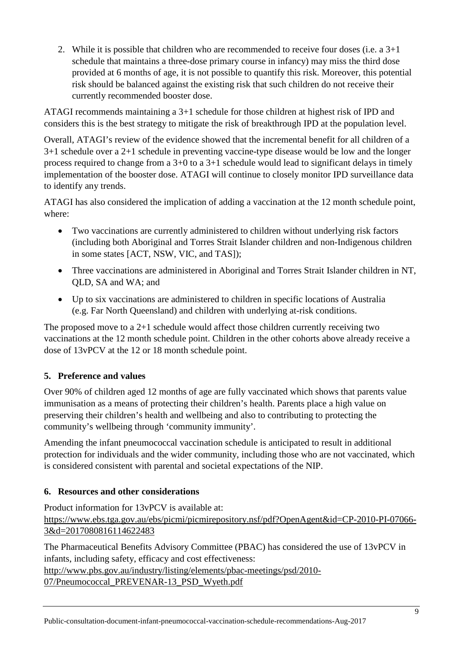2. While it is possible that children who are recommended to receive four doses (i.e. a 3+1 schedule that maintains a three-dose primary course in infancy) may miss the third dose provided at 6 months of age, it is not possible to quantify this risk. Moreover, this potential risk should be balanced against the existing risk that such children do not receive their currently recommended booster dose.

ATAGI recommends maintaining a 3+1 schedule for those children at highest risk of IPD and considers this is the best strategy to mitigate the risk of breakthrough IPD at the population level.

Overall, ATAGI's review of the evidence showed that the incremental benefit for all children of a 3+1 schedule over a 2+1 schedule in preventing vaccine-type disease would be low and the longer process required to change from a 3+0 to a 3+1 schedule would lead to significant delays in timely implementation of the booster dose. ATAGI will continue to closely monitor IPD surveillance data to identify any trends.

ATAGI has also considered the implication of adding a vaccination at the 12 month schedule point, where:

- Two vaccinations are currently administered to children without underlying risk factors (including both Aboriginal and Torres Strait Islander children and non-Indigenous children in some states [ACT, NSW, VIC, and TAS]);
- Three vaccinations are administered in Aboriginal and Torres Strait Islander children in NT, QLD, SA and WA; and
- Up to six vaccinations are administered to children in specific locations of Australia (e.g. Far North Queensland) and children with underlying at-risk conditions.

The proposed move to a 2+1 schedule would affect those children currently receiving two vaccinations at the 12 month schedule point. Children in the other cohorts above already receive a dose of 13vPCV at the 12 or 18 month schedule point.

## **5. Preference and values**

Over 90% of children aged 12 months of age are fully vaccinated which shows that parents value immunisation as a means of protecting their children's health. Parents place a high value on preserving their children's health and wellbeing and also to contributing to protecting the community's wellbeing through 'community immunity'.

Amending the infant pneumococcal vaccination schedule is anticipated to result in additional protection for individuals and the wider community, including those who are not vaccinated, which is considered consistent with parental and societal expectations of the NIP.

## **6. Resources and other considerations**

Product information for 13vPCV is available at: [https://www.ebs.tga.gov.au/ebs/picmi/picmirepository.nsf/pdf?OpenAgent&id=CP-2010-PI-07066-](https://www.ebs.tga.gov.au/ebs/picmi/picmirepository.nsf/pdf?OpenAgent&id=CP-2010-PI-07066-3&d=2017080816114622483) [3&d=2017080816114622483](https://www.ebs.tga.gov.au/ebs/picmi/picmirepository.nsf/pdf?OpenAgent&id=CP-2010-PI-07066-3&d=2017080816114622483)

The Pharmaceutical Benefits Advisory Committee (PBAC) has considered the use of 13vPCV in infants, including safety, efficacy and cost effectiveness:

[http://www.pbs.gov.au/industry/listing/elements/pbac-meetings/psd/2010-](http://www.pbs.gov.au/industry/listing/elements/pbac-meetings/psd/2010-07/Pneumococcal_PREVENAR-13_PSD_Wyeth.pdf) [07/Pneumococcal\\_PREVENAR-13\\_PSD\\_Wyeth.pdf](http://www.pbs.gov.au/industry/listing/elements/pbac-meetings/psd/2010-07/Pneumococcal_PREVENAR-13_PSD_Wyeth.pdf)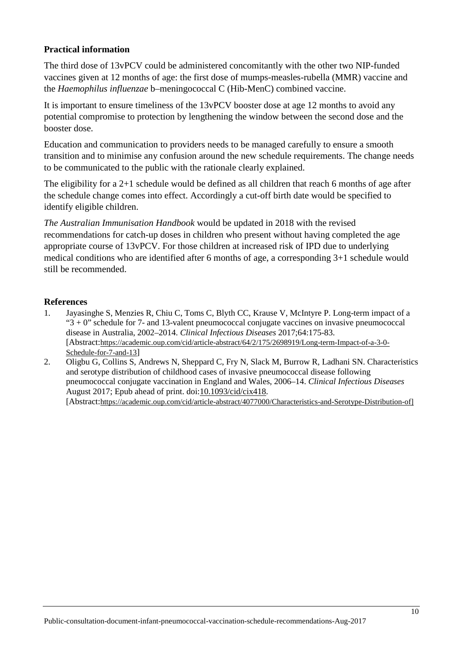#### **Practical information**

The third dose of 13vPCV could be administered concomitantly with the other two NIP-funded vaccines given at 12 months of age: the first dose of mumps-measles-rubella (MMR) vaccine and the *Haemophilus influenzae* b–meningococcal C (Hib-MenC) combined vaccine.

It is important to ensure timeliness of the 13vPCV booster dose at age 12 months to avoid any potential compromise to protection by lengthening the window between the second dose and the booster dose.

Education and communication to providers needs to be managed carefully to ensure a smooth transition and to minimise any confusion around the new schedule requirements. The change needs to be communicated to the public with the rationale clearly explained.

The eligibility for a 2+1 schedule would be defined as all children that reach 6 months of age after the schedule change comes into effect. Accordingly a cut-off birth date would be specified to identify eligible children.

*The Australian Immunisation Handbook* would be updated in 2018 with the revised recommendations for catch-up doses in children who present without having completed the age appropriate course of 13vPCV. For those children at increased risk of IPD due to underlying medical conditions who are identified after 6 months of age, a corresponding 3+1 schedule would still be recommended.

#### **References**

- <span id="page-9-0"></span>1. Jayasinghe S, Menzies R, Chiu C, Toms C, Blyth CC, Krause V, McIntyre P. Long-term impact of a " $3 + 0$ " schedule for 7- and 13-valent pneumococcal conjugate vaccines on invasive pneumococcal disease in Australia, 2002–2014. *Clinical Infectious Diseases* 2017;64:175-83. [Abstract[:https://academic.oup.com/cid/article-abstract/64/2/175/2698919/Long-term-Impact-of-a-3-0-](https://academic.oup.com/cid/article-abstract/64/2/175/2698919/Long-term-Impact-of-a-3-0-Schedule-for-7-and-13) [Schedule-for-7-and-13\]](https://academic.oup.com/cid/article-abstract/64/2/175/2698919/Long-term-Impact-of-a-3-0-Schedule-for-7-and-13)
- <span id="page-9-1"></span>2. Oligbu G, Collins S, Andrews N, Sheppard C, Fry N, Slack M, Burrow R, Ladhani SN, Characteristics and serotype distribution of childhood cases of invasive pneumococcal disease following pneumococcal conjugate vaccination in England and Wales, 2006–14. *Clinical Infectious Diseases* August 2017; Epub ahead of print. doi[:10.1093/cid/cix418.](https://doi.org/10.1093/cid/cix418) [Abstract[:https://academic.oup.com/cid/article-abstract/4077000/Characteristics-and-Serotype-Distribution-of\]](https://academic.oup.com/cid/article-abstract/4077000/Characteristics-and-Serotype-Distribution-of)

Public-consultation-document-infant-pneumococcal-vaccination-schedule-recommendations-Aug-2017